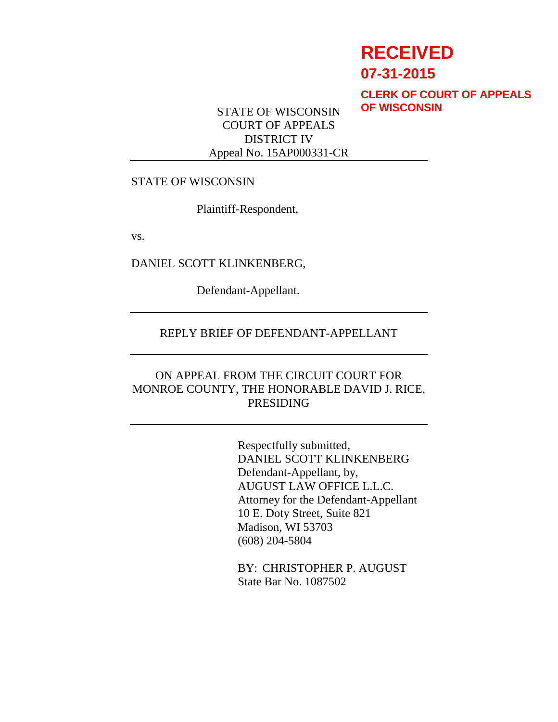# **RECEIVED**

**07-31-2015**

**CLERK OF COURT OF APPEALS OF WISCONSIN**

STATE OF WISCONSIN COURT OF APPEALS DISTRICT IV Appeal No. 15AP000331-CR

#### STATE OF WISCONSIN

Plaintiff-Respondent,

vs.

DANIEL SCOTT KLINKENBERG,

Defendant-Appellant.

## REPLY BRIEF OF DEFENDANT-APPELLANT

## ON APPEAL FROM THE CIRCUIT COURT FOR MONROE COUNTY, THE HONORABLE DAVID J. RICE, PRESIDING

Respectfully submitted, DANIEL SCOTT KLINKENBERG Defendant-Appellant, by, AUGUST LAW OFFICE L.L.C. Attorney for the Defendant-Appellant 10 E. Doty Street, Suite 821 Madison, WI 53703 (608) 204-5804

BY: CHRISTOPHER P. AUGUST State Bar No. 1087502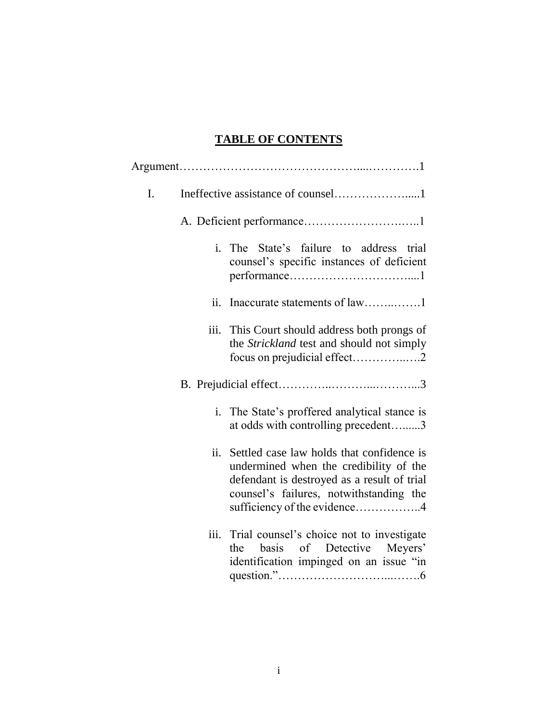# **TABLE OF CONTENTS**

| I. |                            |                                                                                                                                                                                                               |  |  |
|----|----------------------------|---------------------------------------------------------------------------------------------------------------------------------------------------------------------------------------------------------------|--|--|
|    |                            |                                                                                                                                                                                                               |  |  |
|    | $\mathbf{i}$ .             | The State's failure to address trial<br>counsel's specific instances of deficient                                                                                                                             |  |  |
|    | $\overline{\mathbf{11}}$ . |                                                                                                                                                                                                               |  |  |
|    | iii.                       | This Court should address both prongs of<br>the Strickland test and should not simply                                                                                                                         |  |  |
|    |                            |                                                                                                                                                                                                               |  |  |
|    |                            | i. The State's proffered analytical stance is<br>at odds with controlling precedent3                                                                                                                          |  |  |
|    | ii.                        | Settled case law holds that confidence is<br>undermined when the credibility of the<br>defendant is destroyed as a result of trial<br>counsel's failures, notwithstanding the<br>sufficiency of the evidence4 |  |  |
|    | iii.                       | Trial counsel's choice not to investigate<br>basis of Detective Meyers'<br>the<br>identification impinged on an issue "in                                                                                     |  |  |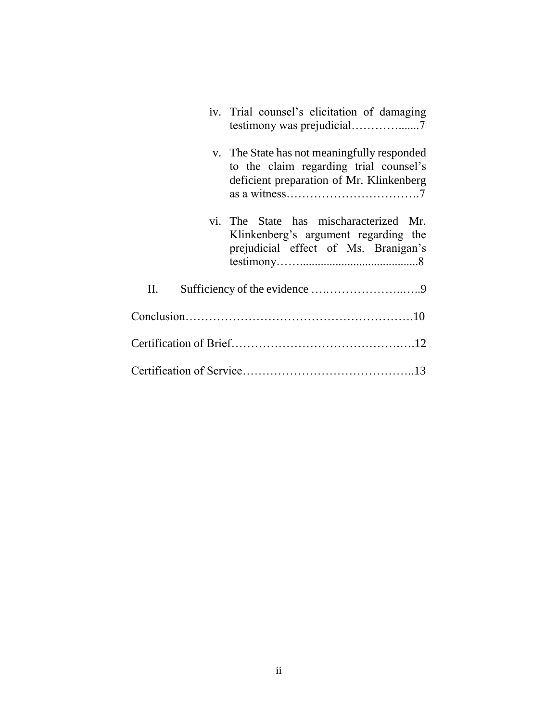| iv. Trial counsel's elicitation of damaging                                                                                       |  |  |  |
|-----------------------------------------------------------------------------------------------------------------------------------|--|--|--|
| v. The State has not meaningfully responded<br>to the claim regarding trial counsel's<br>deficient preparation of Mr. Klinkenberg |  |  |  |
| vi. The State has mischaracterized Mr.<br>Klinkenberg's argument regarding the<br>prejudicial effect of Ms. Branigan's            |  |  |  |
| П.                                                                                                                                |  |  |  |
|                                                                                                                                   |  |  |  |
|                                                                                                                                   |  |  |  |
|                                                                                                                                   |  |  |  |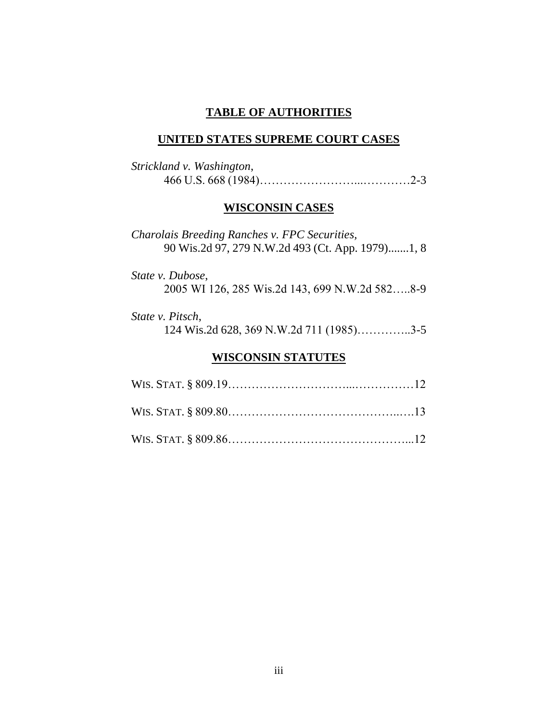## **TABLE OF AUTHORITIES**

#### **UNITED STATES SUPREME COURT CASES**

| Strickland v. Washington, |  |
|---------------------------|--|
|                           |  |

### **WISCONSIN CASES**

*Charolais Breeding Ranches v. FPC Securities,* 90 Wis.2d 97, 279 N.W.2d 493 (Ct. App. 1979).......1, 8

*State v. Dubose*, 2005 WI 126, 285 Wis.2d 143, 699 N.W.2d 582…..8-9

*State v. Pitsch*, 124 Wis.2d 628, 369 N.W.2d 711 (1985)…………..3-5

## **WISCONSIN STATUTES**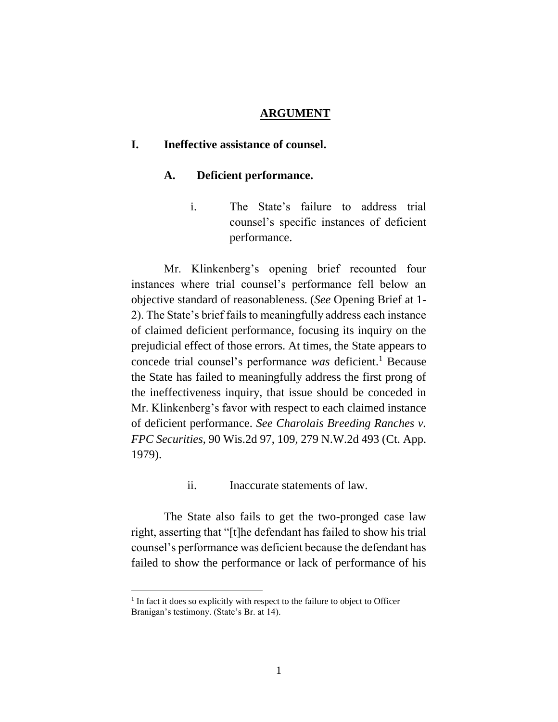#### **ARGUMENT**

#### **I. Ineffective assistance of counsel.**

#### **A. Deficient performance.**

i. The State's failure to address trial counsel's specific instances of deficient performance.

Mr. Klinkenberg's opening brief recounted four instances where trial counsel's performance fell below an objective standard of reasonableness. (*See* Opening Brief at 1- 2). The State's brief fails to meaningfully address each instance of claimed deficient performance, focusing its inquiry on the prejudicial effect of those errors. At times, the State appears to concede trial counsel's performance *was* deficient.<sup>1</sup> Because the State has failed to meaningfully address the first prong of the ineffectiveness inquiry, that issue should be conceded in Mr. Klinkenberg's favor with respect to each claimed instance of deficient performance. *See Charolais Breeding Ranches v. FPC Securities*, 90 Wis.2d 97, 109, 279 N.W.2d 493 (Ct. App. 1979).

ii. Inaccurate statements of law.

The State also fails to get the two-pronged case law right, asserting that "[t]he defendant has failed to show his trial counsel's performance was deficient because the defendant has failed to show the performance or lack of performance of his

 $<sup>1</sup>$  In fact it does so explicitly with respect to the failure to object to Officer</sup> Branigan's testimony. (State's Br. at 14).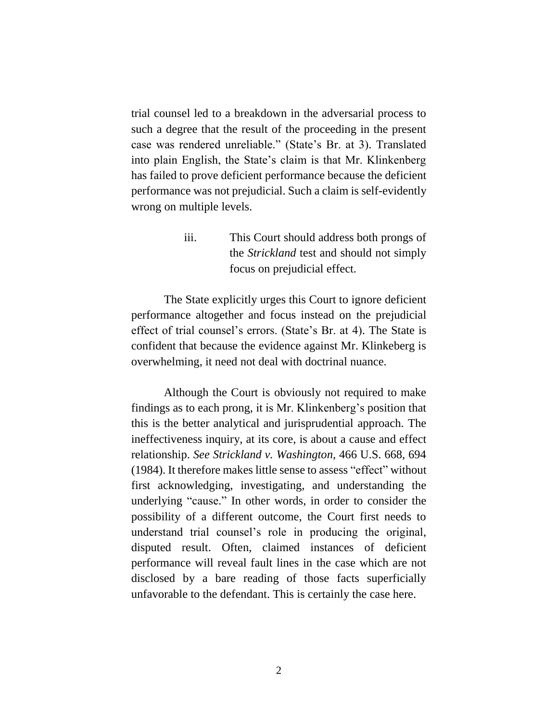trial counsel led to a breakdown in the adversarial process to such a degree that the result of the proceeding in the present case was rendered unreliable." (State's Br. at 3). Translated into plain English, the State's claim is that Mr. Klinkenberg has failed to prove deficient performance because the deficient performance was not prejudicial. Such a claim is self-evidently wrong on multiple levels.

> iii. This Court should address both prongs of the *Strickland* test and should not simply focus on prejudicial effect.

The State explicitly urges this Court to ignore deficient performance altogether and focus instead on the prejudicial effect of trial counsel's errors. (State's Br. at 4). The State is confident that because the evidence against Mr. Klinkeberg is overwhelming, it need not deal with doctrinal nuance.

Although the Court is obviously not required to make findings as to each prong, it is Mr. Klinkenberg's position that this is the better analytical and jurisprudential approach. The ineffectiveness inquiry, at its core, is about a cause and effect relationship. *See Strickland v. Washington*, 466 U.S. 668, 694 (1984). It therefore makes little sense to assess "effect" without first acknowledging, investigating, and understanding the underlying "cause." In other words, in order to consider the possibility of a different outcome, the Court first needs to understand trial counsel's role in producing the original, disputed result. Often, claimed instances of deficient performance will reveal fault lines in the case which are not disclosed by a bare reading of those facts superficially unfavorable to the defendant. This is certainly the case here.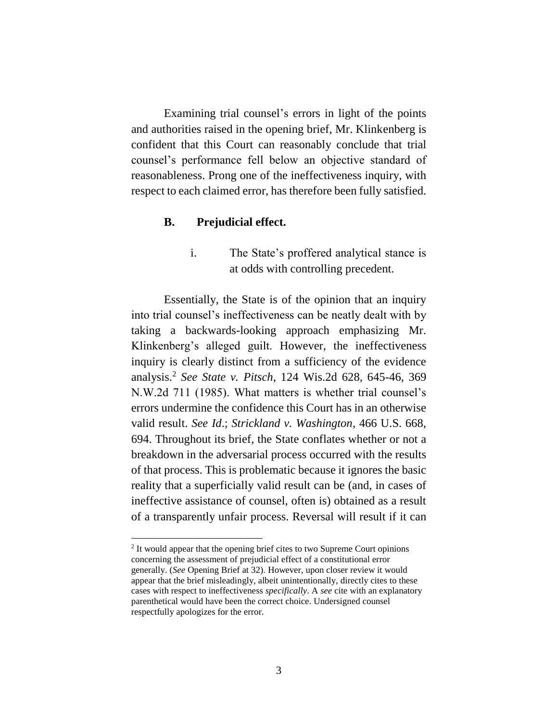Examining trial counsel's errors in light of the points and authorities raised in the opening brief, Mr. Klinkenberg is confident that this Court can reasonably conclude that trial counsel's performance fell below an objective standard of reasonableness. Prong one of the ineffectiveness inquiry, with respect to each claimed error, has therefore been fully satisfied.

#### **B. Prejudicial effect.**

Essentially, the State is of the opinion that an inquiry into trial counsel's ineffectiveness can be neatly dealt with by taking a backwards-looking approach emphasizing Mr. Klinkenberg's alleged guilt. However, the ineffectiveness inquiry is clearly distinct from a sufficiency of the evidence analysis. <sup>2</sup> *See State v. Pitsch*, 124 Wis.2d 628, 645-46, 369 N.W.2d 711 (1985). What matters is whether trial counsel's errors undermine the confidence this Court has in an otherwise valid result. *See Id*.; *Strickland v. Washington*, 466 U.S. 668, 694. Throughout its brief, the State conflates whether or not a breakdown in the adversarial process occurred with the results of that process. This is problematic because it ignores the basic reality that a superficially valid result can be (and, in cases of ineffective assistance of counsel, often is) obtained as a result of a transparently unfair process. Reversal will result if it can

i. The State's proffered analytical stance is at odds with controlling precedent.

<sup>&</sup>lt;sup>2</sup> It would appear that the opening brief cites to two Supreme Court opinions concerning the assessment of prejudicial effect of a constitutional error generally. (*See* Opening Brief at 32). However, upon closer review it would appear that the brief misleadingly, albeit unintentionally, directly cites to these cases with respect to ineffectiveness *specifically*. A *see* cite with an explanatory parenthetical would have been the correct choice. Undersigned counsel respectfully apologizes for the error.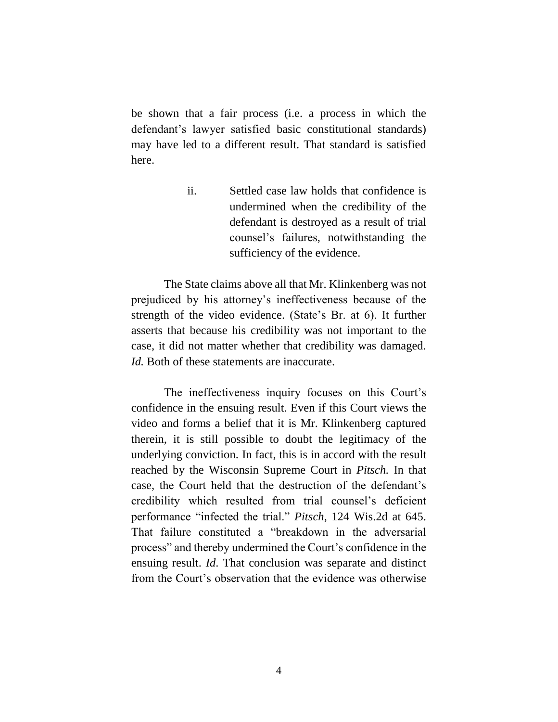be shown that a fair process (i.e. a process in which the defendant's lawyer satisfied basic constitutional standards) may have led to a different result. That standard is satisfied here.

> ii. Settled case law holds that confidence is undermined when the credibility of the defendant is destroyed as a result of trial counsel's failures, notwithstanding the sufficiency of the evidence.

The State claims above all that Mr. Klinkenberg was not prejudiced by his attorney's ineffectiveness because of the strength of the video evidence. (State's Br. at 6). It further asserts that because his credibility was not important to the case, it did not matter whether that credibility was damaged. *Id.* Both of these statements are inaccurate.

The ineffectiveness inquiry focuses on this Court's confidence in the ensuing result. Even if this Court views the video and forms a belief that it is Mr. Klinkenberg captured therein, it is still possible to doubt the legitimacy of the underlying conviction. In fact, this is in accord with the result reached by the Wisconsin Supreme Court in *Pitsch.* In that case, the Court held that the destruction of the defendant's credibility which resulted from trial counsel's deficient performance "infected the trial." *Pitsch*, 124 Wis.2d at 645. That failure constituted a "breakdown in the adversarial process" and thereby undermined the Court's confidence in the ensuing result. *Id*. That conclusion was separate and distinct from the Court's observation that the evidence was otherwise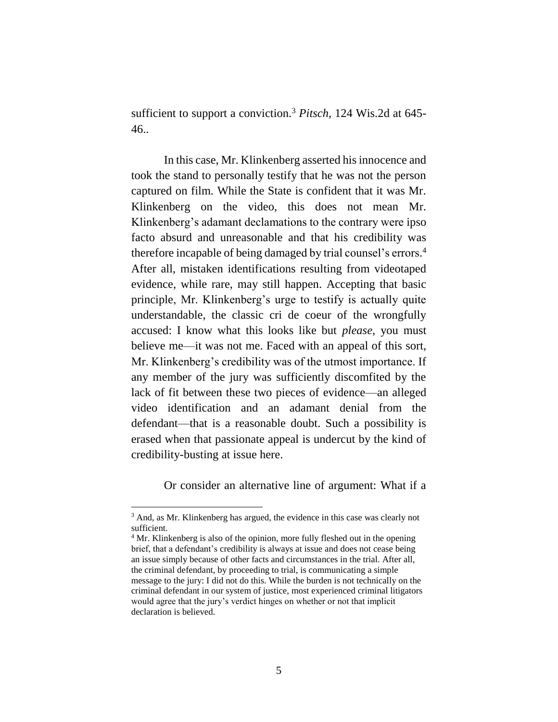sufficient to support a conviction.<sup>3</sup> *Pitsch*, 124 Wis.2d at 645- 46..

In this case, Mr. Klinkenberg asserted his innocence and took the stand to personally testify that he was not the person captured on film. While the State is confident that it was Mr. Klinkenberg on the video, this does not mean Mr. Klinkenberg's adamant declamations to the contrary were ipso facto absurd and unreasonable and that his credibility was therefore incapable of being damaged by trial counsel's errors. 4 After all, mistaken identifications resulting from videotaped evidence, while rare, may still happen. Accepting that basic principle, Mr. Klinkenberg's urge to testify is actually quite understandable, the classic cri de coeur of the wrongfully accused: I know what this looks like but *please*, you must believe me—it was not me. Faced with an appeal of this sort, Mr. Klinkenberg's credibility was of the utmost importance. If any member of the jury was sufficiently discomfited by the lack of fit between these two pieces of evidence—an alleged video identification and an adamant denial from the defendant—that is a reasonable doubt. Such a possibility is erased when that passionate appeal is undercut by the kind of credibility-busting at issue here.

Or consider an alternative line of argument: What if a

<sup>3</sup> And, as Mr. Klinkenberg has argued, the evidence in this case was clearly not sufficient.

<sup>&</sup>lt;sup>4</sup> Mr. Klinkenberg is also of the opinion, more fully fleshed out in the opening brief, that a defendant's credibility is always at issue and does not cease being an issue simply because of other facts and circumstances in the trial. After all, the criminal defendant, by proceeding to trial, is communicating a simple message to the jury: I did not do this. While the burden is not technically on the criminal defendant in our system of justice, most experienced criminal litigators would agree that the jury's verdict hinges on whether or not that implicit declaration is believed.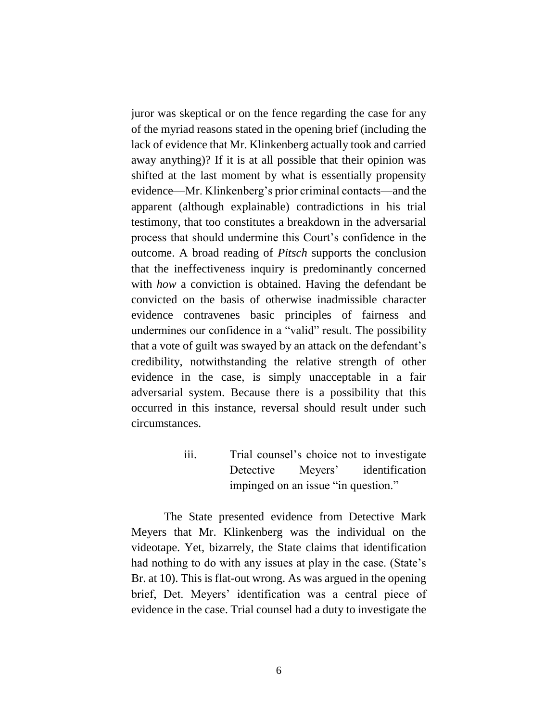juror was skeptical or on the fence regarding the case for any of the myriad reasons stated in the opening brief (including the lack of evidence that Mr. Klinkenberg actually took and carried away anything)? If it is at all possible that their opinion was shifted at the last moment by what is essentially propensity evidence—Mr. Klinkenberg's prior criminal contacts—and the apparent (although explainable) contradictions in his trial testimony, that too constitutes a breakdown in the adversarial process that should undermine this Court's confidence in the outcome. A broad reading of *Pitsch* supports the conclusion that the ineffectiveness inquiry is predominantly concerned with *how* a conviction is obtained. Having the defendant be convicted on the basis of otherwise inadmissible character evidence contravenes basic principles of fairness and undermines our confidence in a "valid" result. The possibility that a vote of guilt was swayed by an attack on the defendant's credibility, notwithstanding the relative strength of other evidence in the case, is simply unacceptable in a fair adversarial system. Because there is a possibility that this occurred in this instance, reversal should result under such circumstances.

> iii. Trial counsel's choice not to investigate Detective Meyers' identification impinged on an issue "in question."

The State presented evidence from Detective Mark Meyers that Mr. Klinkenberg was the individual on the videotape. Yet, bizarrely, the State claims that identification had nothing to do with any issues at play in the case. (State's Br. at 10). This is flat-out wrong. As was argued in the opening brief, Det. Meyers' identification was a central piece of evidence in the case. Trial counsel had a duty to investigate the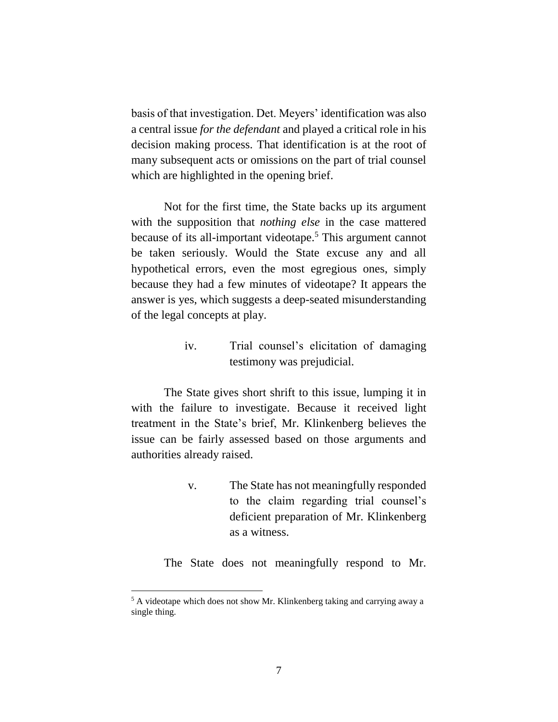basis of that investigation. Det. Meyers' identification was also a central issue *for the defendant* and played a critical role in his decision making process. That identification is at the root of many subsequent acts or omissions on the part of trial counsel which are highlighted in the opening brief.

Not for the first time, the State backs up its argument with the supposition that *nothing else* in the case mattered because of its all-important videotape.<sup>5</sup> This argument cannot be taken seriously. Would the State excuse any and all hypothetical errors, even the most egregious ones, simply because they had a few minutes of videotape? It appears the answer is yes, which suggests a deep-seated misunderstanding of the legal concepts at play.

> iv. Trial counsel's elicitation of damaging testimony was prejudicial.

The State gives short shrift to this issue, lumping it in with the failure to investigate. Because it received light treatment in the State's brief, Mr. Klinkenberg believes the issue can be fairly assessed based on those arguments and authorities already raised.

> v. The State has not meaningfully responded to the claim regarding trial counsel's deficient preparation of Mr. Klinkenberg as a witness.

The State does not meaningfully respond to Mr.

<sup>&</sup>lt;sup>5</sup> A videotape which does not show Mr. Klinkenberg taking and carrying away a single thing.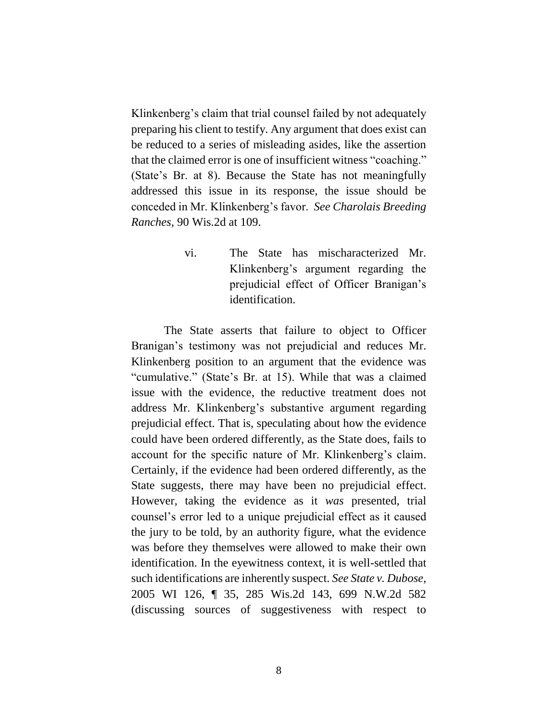Klinkenberg's claim that trial counsel failed by not adequately preparing his client to testify. Any argument that does exist can be reduced to a series of misleading asides, like the assertion that the claimed error is one of insufficient witness "coaching." (State's Br. at 8). Because the State has not meaningfully addressed this issue in its response, the issue should be conceded in Mr. Klinkenberg's favor. *See Charolais Breeding Ranches*, 90 Wis.2d at 109.

> vi. The State has mischaracterized Mr. Klinkenberg's argument regarding the prejudicial effect of Officer Branigan's identification.

The State asserts that failure to object to Officer Branigan's testimony was not prejudicial and reduces Mr. Klinkenberg position to an argument that the evidence was "cumulative." (State's Br. at 15). While that was a claimed issue with the evidence, the reductive treatment does not address Mr. Klinkenberg's substantive argument regarding prejudicial effect. That is, speculating about how the evidence could have been ordered differently, as the State does, fails to account for the specific nature of Mr. Klinkenberg's claim. Certainly, if the evidence had been ordered differently, as the State suggests, there may have been no prejudicial effect. However, taking the evidence as it *was* presented, trial counsel's error led to a unique prejudicial effect as it caused the jury to be told, by an authority figure, what the evidence was before they themselves were allowed to make their own identification. In the eyewitness context, it is well-settled that such identifications are inherently suspect. *See State v. Dubose*, 2005 WI 126, ¶ 35, 285 Wis.2d 143, 699 N.W.2d 582 (discussing sources of suggestiveness with respect to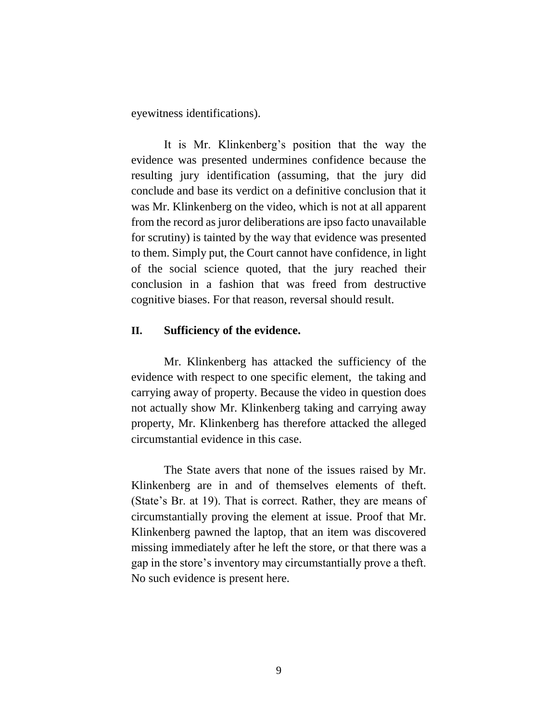eyewitness identifications).

It is Mr. Klinkenberg's position that the way the evidence was presented undermines confidence because the resulting jury identification (assuming, that the jury did conclude and base its verdict on a definitive conclusion that it was Mr. Klinkenberg on the video, which is not at all apparent from the record as juror deliberations are ipso facto unavailable for scrutiny) is tainted by the way that evidence was presented to them. Simply put, the Court cannot have confidence, in light of the social science quoted, that the jury reached their conclusion in a fashion that was freed from destructive cognitive biases. For that reason, reversal should result.

#### **II. Sufficiency of the evidence.**

Mr. Klinkenberg has attacked the sufficiency of the evidence with respect to one specific element, the taking and carrying away of property. Because the video in question does not actually show Mr. Klinkenberg taking and carrying away property, Mr. Klinkenberg has therefore attacked the alleged circumstantial evidence in this case.

The State avers that none of the issues raised by Mr. Klinkenberg are in and of themselves elements of theft. (State's Br. at 19). That is correct. Rather, they are means of circumstantially proving the element at issue. Proof that Mr. Klinkenberg pawned the laptop, that an item was discovered missing immediately after he left the store, or that there was a gap in the store's inventory may circumstantially prove a theft. No such evidence is present here.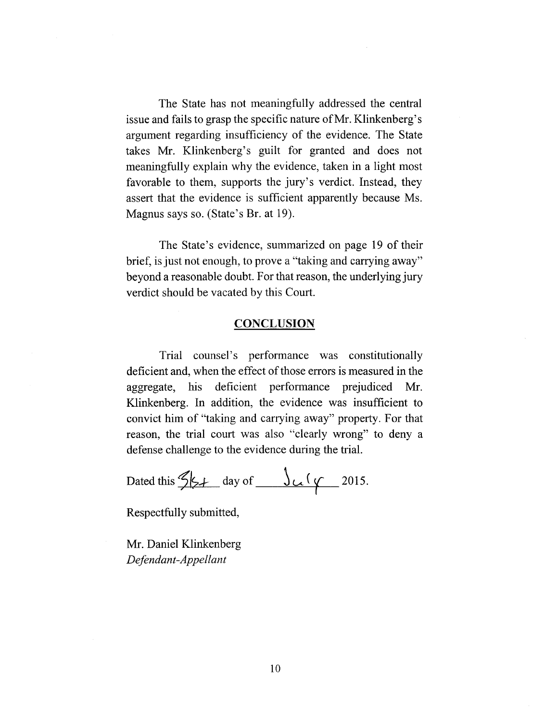The State has not meaningfully addressed the central issue and fails to grasp the specific nature of Mr. Klinkenberg's argument regarding insufficiency of the evidence. The State takes Mr. Klinkenberg's guilt for granted and does not meaningfully explain why the evidence, taken in a light most favorable to them, supports the jury's verdict. Instead, they assert that the evidence is sufficient apparently because Ms. Magnus says so. (State's Br. at 19).

The State's evidence, summarized on page 19 of their brief, is just not enough, to prove a "taking and carrying away" beyond a reasonable doubt. For that reason, the underlying jury verdict should be vacated by this Court.

#### **CONCLUSION**

Trial counsel's performance was constitutionally deficient and, when the effect of those errors is measured in the aggregate, his deficient performance prejudiced Mr. Klinkenberg. In addition, the evidence was insufficient to convict him of "taking and carrying away" property. For that reason, the trial court was also "clearly wrong" to deny a defense challenge to the evidence during the trial.

Dated this  $\frac{2k}{2}$  day of  $\frac{1}{2015}$ .

Respectfully submitted,

**Mr. Daniel Klinkenberg** *Defendant-Appellant*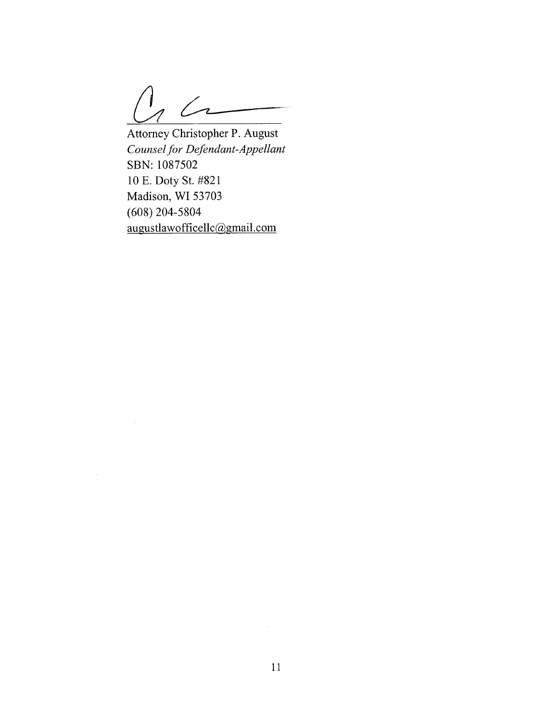$\sqrt{2}$ 

Attorney Christopher P. August *Counselfor Defendant-Appellant* **SBN:** 1087502 10 E. Doty St. #821 Madison, WI 53703 (608) 204-5804 augustlawofficellc@gmail.com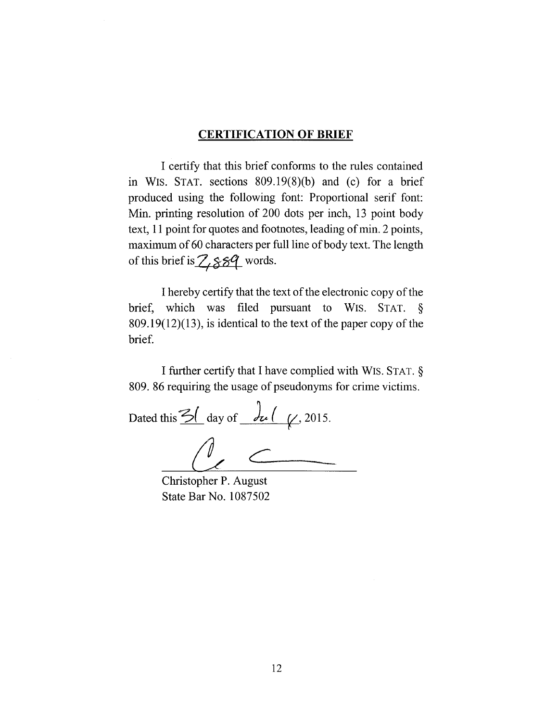#### **CERTIFICATION OF BRIEF**

I certify that this brief conforms to the rules contained in WIS. STAT. sections 809.19(8)(b) and (c) for a brief produced using the following font: Proportional serif font: Min. printing resolution of 200 dots per inch, 13 point body text, 11 point for quotes and footnotes, leading of min. 2 points, maximum of 60 characters per full line of body text. The length of this brief is  $\mathbb{Z}_5$   $\mathbb{Z}_7$  words.

I hereby certify that the text of the electronic copy of the brief, which was filed pursuant to WIS. STAT. §  $809.19(12)(13)$ , is identical to the text of the paper copy of the brief.

I further certify that I have complied with WIs. STAT. § 809.86 requiring the usage of pseudonyms for crime victims.

Dated this  $\frac{3}{2}$  day of  $\frac{d}{dx}$  ( $\frac{1}{x}$ , 2015.

Christopher P. August State Bar No. 1087502